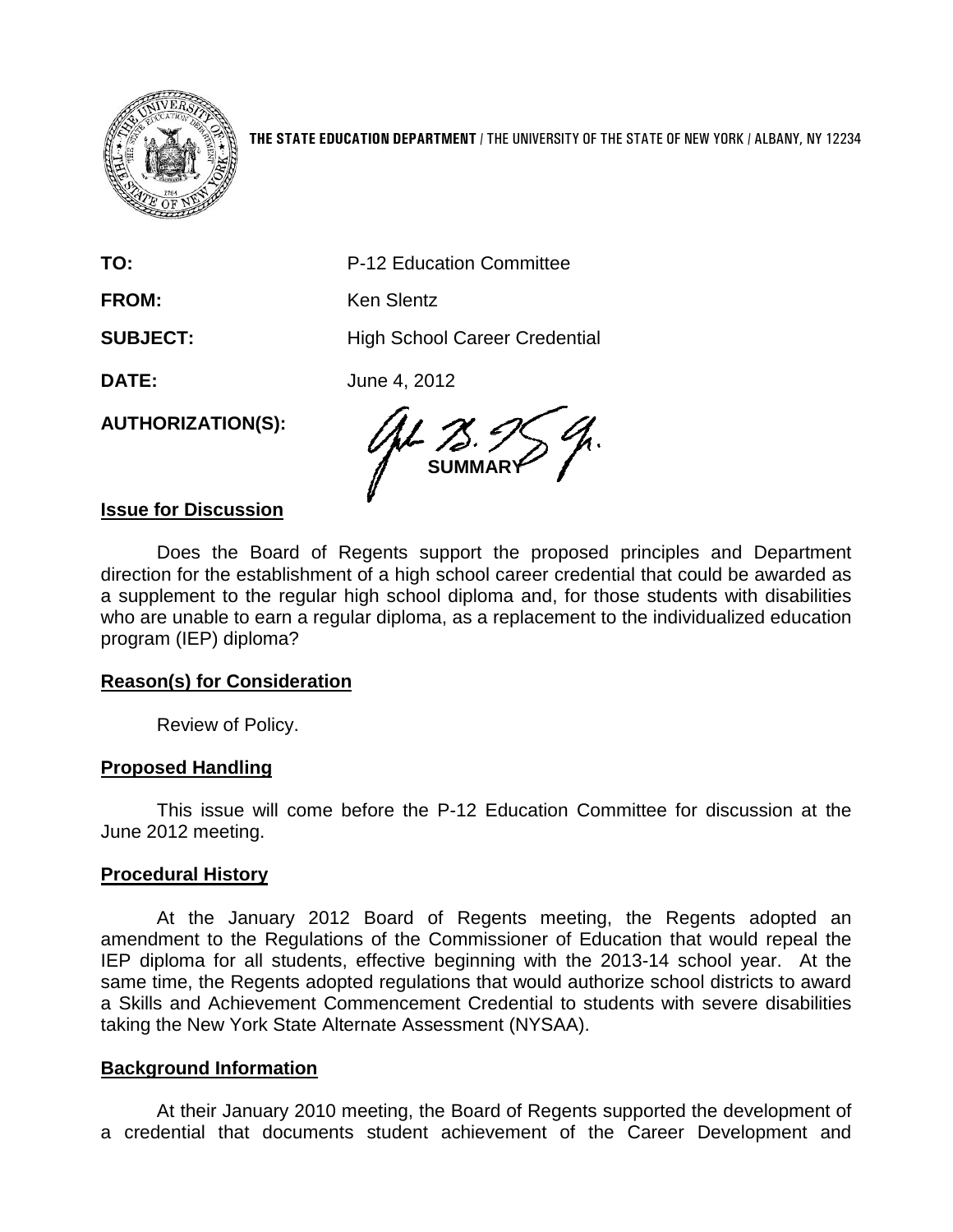

**THE STATE EDUCATION DEPARTMENT** / THE UNIVERSITY OF THE STATE OF NEW YORK / ALBANY, NY 12234

**TO:** P-12 Education Committee FROM: Ken Slentz **SUBJECT:** High School Career Credential **DATE:** June 4, 2012

**AUTHORIZATION(S):**

**SUMMARY**

### **Issue for Discussion**

Does the Board of Regents support the proposed principles and Department direction for the establishment of a high school career credential that could be awarded as a supplement to the regular high school diploma and, for those students with disabilities who are unable to earn a regular diploma, as a replacement to the individualized education program (IEP) diploma?

### **Reason(s) for Consideration**

Review of Policy.

### **Proposed Handling**

This issue will come before the P-12 Education Committee for discussion at the June 2012 meeting.

### **Procedural History**

At the January 2012 Board of Regents meeting, the Regents adopted an amendment to the Regulations of the Commissioner of Education that would repeal the IEP diploma for all students, effective beginning with the 2013-14 school year. At the same time, the Regents adopted regulations that would authorize school districts to award a Skills and Achievement Commencement Credential to students with severe disabilities taking the New York State Alternate Assessment (NYSAA).

### **Background Information**

At their January 2010 meeting, the Board of Regents supported the development of a credential that documents student achievement of the Career Development and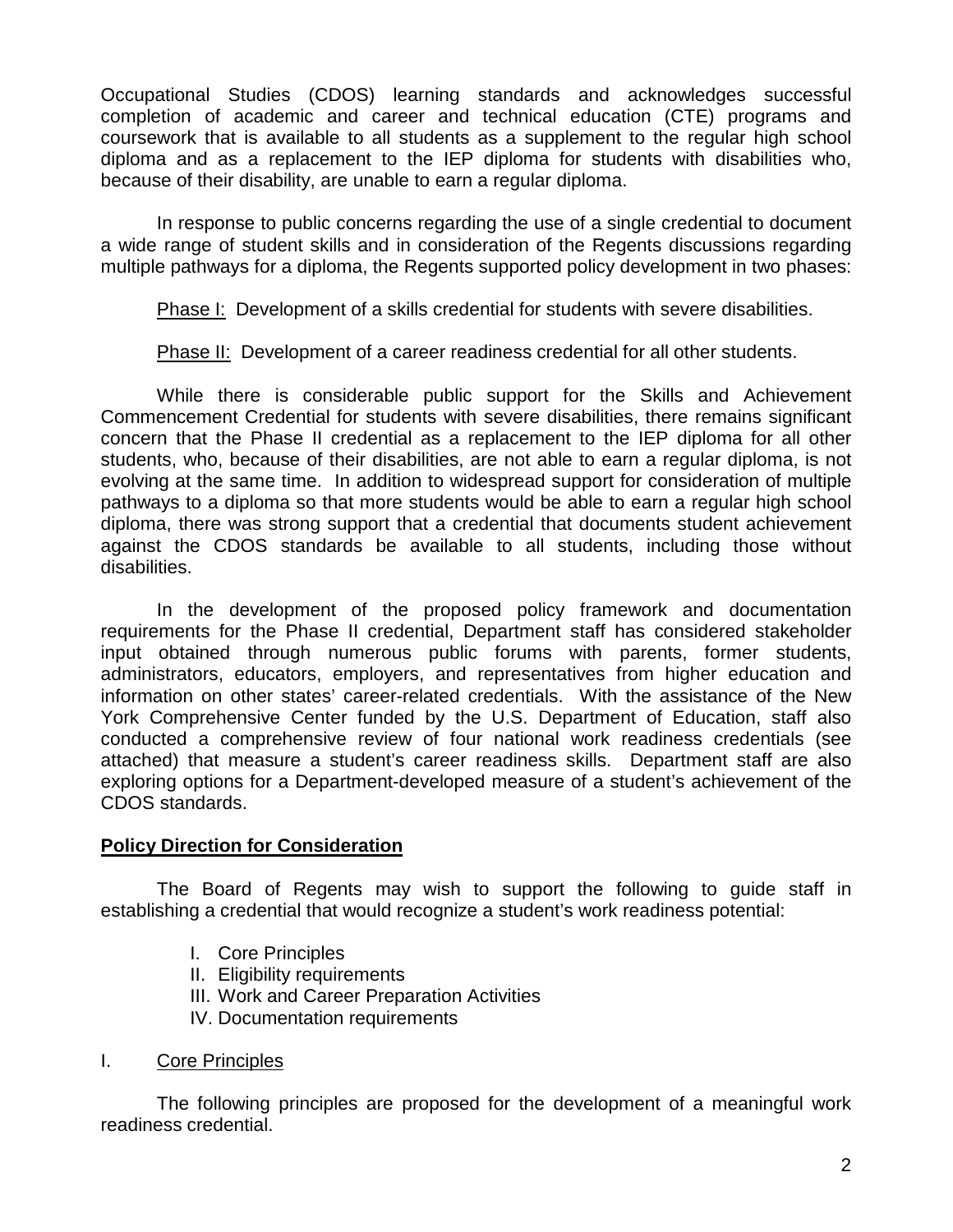Occupational Studies (CDOS) learning standards and acknowledges successful completion of academic and career and technical education (CTE) programs and coursework that is available to all students as a supplement to the regular high school diploma and as a replacement to the IEP diploma for students with disabilities who, because of their disability, are unable to earn a regular diploma.

In response to public concerns regarding the use of a single credential to document a wide range of student skills and in consideration of the Regents discussions regarding multiple pathways for a diploma, the Regents supported policy development in two phases:

Phase I: Development of a skills credential for students with severe disabilities.

Phase II: Development of a career readiness credential for all other students.

While there is considerable public support for the Skills and Achievement Commencement Credential for students with severe disabilities, there remains significant concern that the Phase II credential as a replacement to the IEP diploma for all other students, who, because of their disabilities, are not able to earn a regular diploma, is not evolving at the same time. In addition to widespread support for consideration of multiple pathways to a diploma so that more students would be able to earn a regular high school diploma, there was strong support that a credential that documents student achievement against the CDOS standards be available to all students, including those without disabilities.

In the development of the proposed policy framework and documentation requirements for the Phase II credential, Department staff has considered stakeholder input obtained through numerous public forums with parents, former students, administrators, educators, employers, and representatives from higher education and information on other states' career-related credentials. With the assistance of the New York Comprehensive Center funded by the U.S. Department of Education, staff also conducted a comprehensive review of four national work readiness credentials (see attached) that measure a student's career readiness skills. Department staff are also exploring options for a Department-developed measure of a student's achievement of the CDOS standards.

### **Policy Direction for Consideration**

The Board of Regents may wish to support the following to guide staff in establishing a credential that would recognize a student's work readiness potential:

- I. Core Principles
- II. Eligibility requirements
- III. Work and Career Preparation Activities
- IV. Documentation requirements
- I. Core Principles

The following principles are proposed for the development of a meaningful work readiness credential.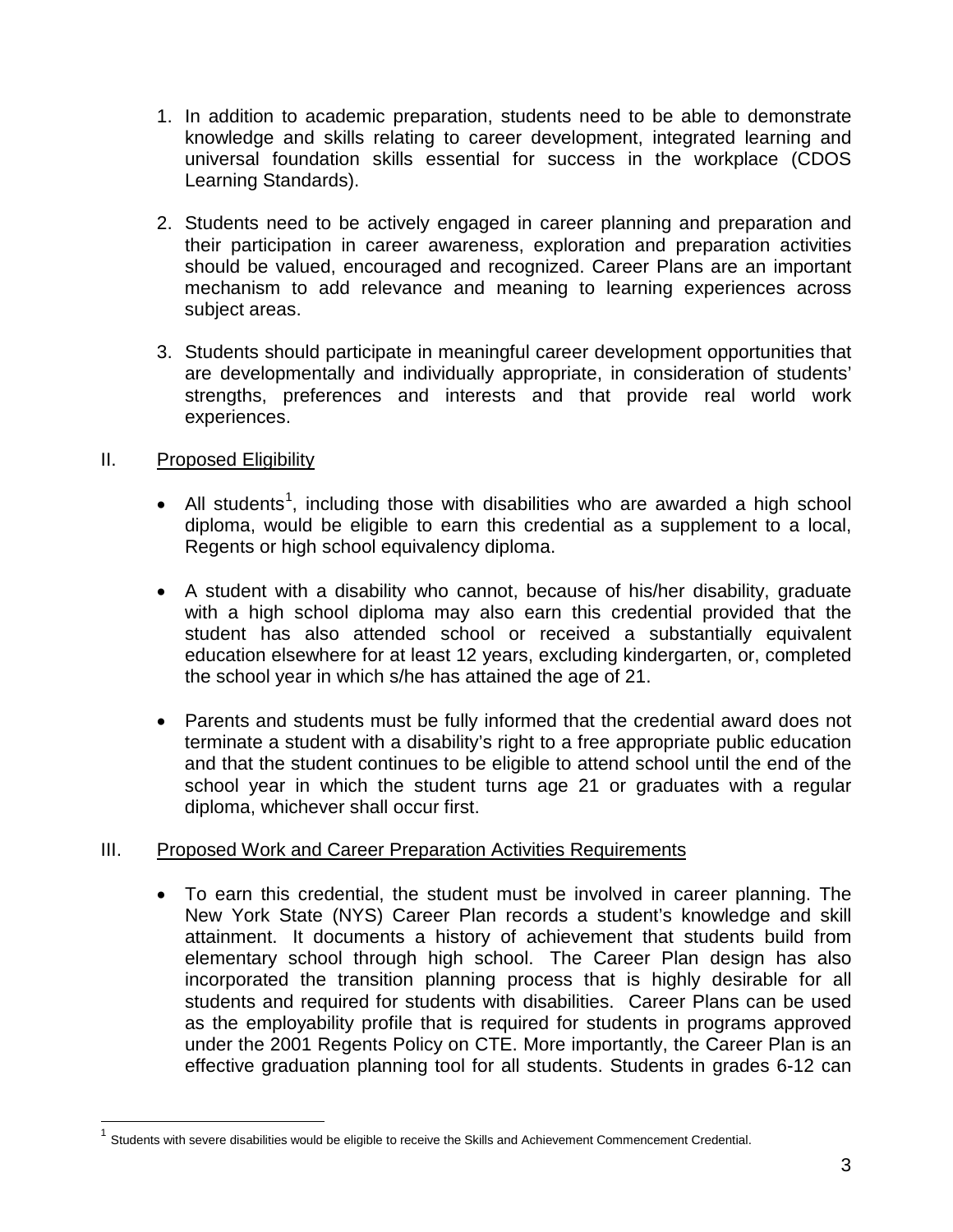- 1. In addition to academic preparation, students need to be able to demonstrate knowledge and skills relating to career development, integrated learning and universal foundation skills essential for success in the workplace (CDOS Learning Standards).
- 2. Students need to be actively engaged in career planning and preparation and their participation in career awareness, exploration and preparation activities should be valued, encouraged and recognized. Career Plans are an important mechanism to add relevance and meaning to learning experiences across subject areas.
- 3. Students should participate in meaningful career development opportunities that are developmentally and individually appropriate, in consideration of students' strengths, preferences and interests and that provide real world work experiences.

### II. Proposed Eligibility

- All students<sup>[1](#page-2-0)</sup>, including those with disabilities who are awarded a high school diploma, would be eligible to earn this credential as a supplement to a local, Regents or high school equivalency diploma.
- A student with a disability who cannot, because of his/her disability, graduate with a high school diploma may also earn this credential provided that the student has also attended school or received a substantially equivalent education elsewhere for at least 12 years, excluding kindergarten, or, completed the school year in which s/he has attained the age of 21.
- Parents and students must be fully informed that the credential award does not terminate a student with a disability's right to a free appropriate public education and that the student continues to be eligible to attend school until the end of the school year in which the student turns age 21 or graduates with a regular diploma, whichever shall occur first.

### III. Proposed Work and Career Preparation Activities Requirements

• To earn this credential, the student must be involved in career planning. The New York State (NYS) Career Plan records a student's knowledge and skill attainment. It documents a history of achievement that students build from elementary school through high school. The Career Plan design has also incorporated the transition planning process that is highly desirable for all students and required for students with disabilities. Career Plans can be used as the employability profile that is required for students in programs approved under the 2001 Regents Policy on CTE. More importantly, the Career Plan is an effective graduation planning tool for all students. Students in grades 6-12 can

<span id="page-2-0"></span> $1$  Students with severe disabilities would be eligible to receive the Skills and Achievement Commencement Credential.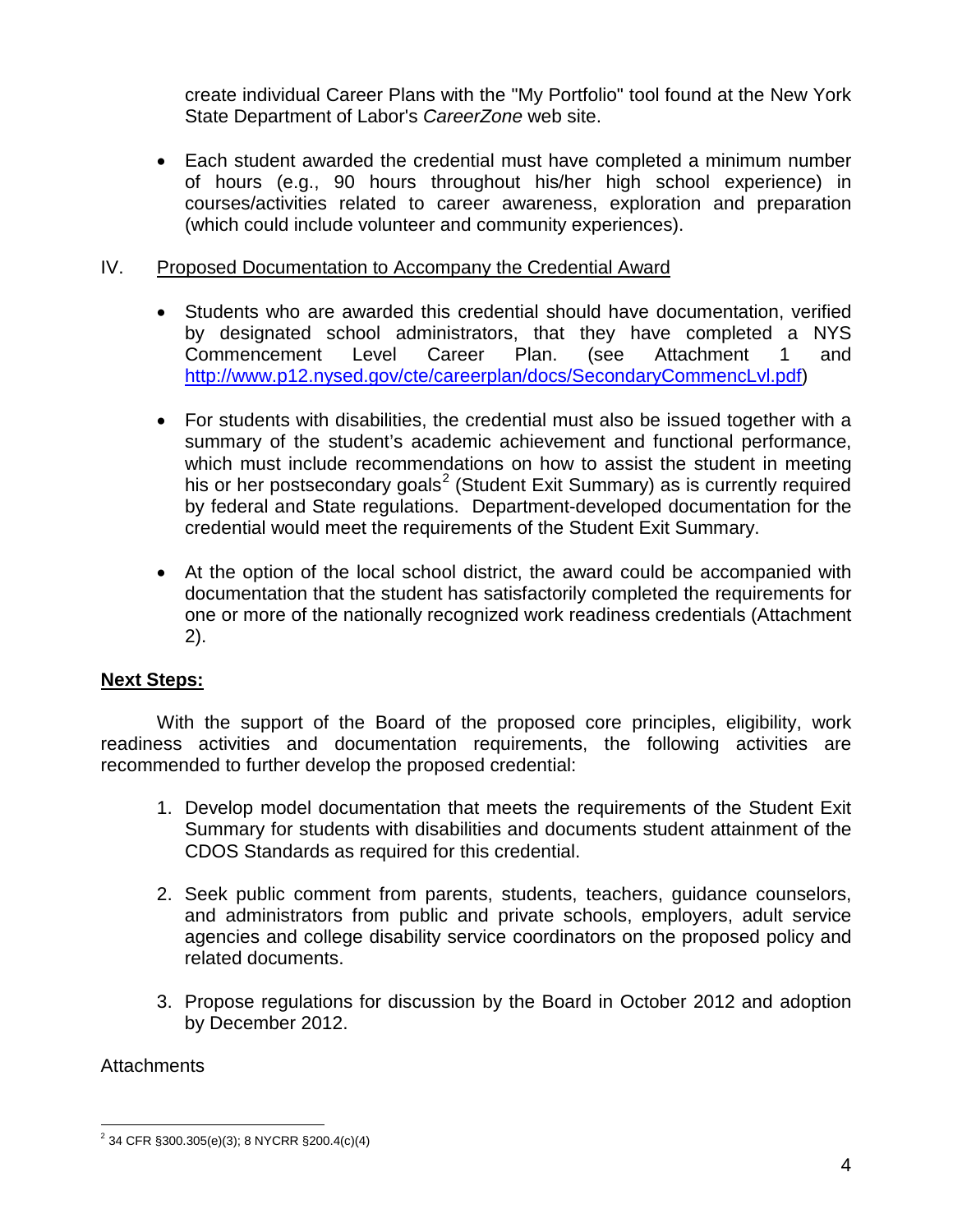create individual Career Plans with the "My Portfolio" tool found at the New York State Department of Labor's *CareerZone* web site.

• Each student awarded the credential must have completed a minimum number of hours (e.g., 90 hours throughout his/her high school experience) in courses/activities related to career awareness, exploration and preparation (which could include volunteer and community experiences).

### IV. Proposed Documentation to Accompany the Credential Award

- Students who are awarded this credential should have documentation, verified by designated school administrators, that they have completed a NYS Commencement Level Career Plan. (see Attachment 1 and [http://www.p12.nysed.gov/cte/careerplan/docs/SecondaryCommencLvl.pdf\)](http://www.p12.nysed.gov/cte/careerplan/docs/SecondaryCommencLvl.pdf)
- For students with disabilities, the credential must also be issued together with a summary of the student's academic achievement and functional performance, which must include recommendations on how to assist the student in meeting his or her postsecondary goals<sup>[2](#page-3-0)</sup> (Student Exit Summary) as is currently required by federal and State regulations. Department-developed documentation for the credential would meet the requirements of the Student Exit Summary.
- At the option of the local school district, the award could be accompanied with documentation that the student has satisfactorily completed the requirements for one or more of the nationally recognized work readiness credentials (Attachment 2).

### **Next Steps:**

With the support of the Board of the proposed core principles, eligibility, work readiness activities and documentation requirements, the following activities are recommended to further develop the proposed credential:

- 1. Develop model documentation that meets the requirements of the Student Exit Summary for students with disabilities and documents student attainment of the CDOS Standards as required for this credential.
- 2. Seek public comment from parents, students, teachers, guidance counselors, and administrators from public and private schools, employers, adult service agencies and college disability service coordinators on the proposed policy and related documents.
- 3. Propose regulations for discussion by the Board in October 2012 and adoption by December 2012.

### **Attachments**

<span id="page-3-0"></span> $2^{2}$  34 CFR §300.305(e)(3); 8 NYCRR §200.4(c)(4)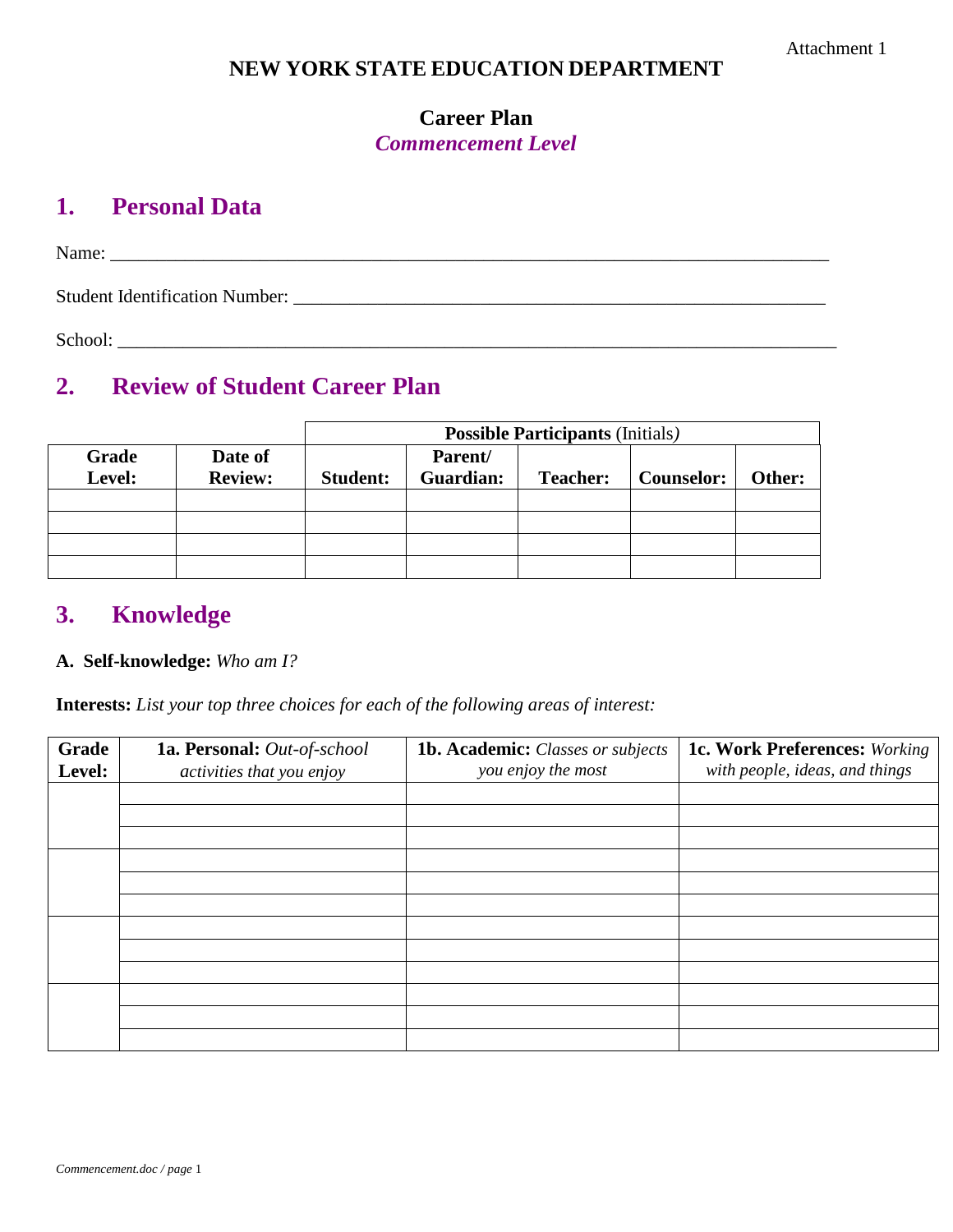### **NEW YORK STATE EDUCATION DEPARTMENT**

### **Career Plan** *Commencement Level*

## **1. Personal Data**

Name: \_\_\_\_\_\_\_\_\_\_\_\_\_\_\_\_\_\_\_\_\_\_\_\_\_\_\_\_\_\_\_\_\_\_\_\_\_\_\_\_\_\_\_\_\_\_\_\_\_\_\_\_\_\_\_\_\_\_\_\_\_\_\_\_\_\_\_\_\_\_\_\_\_\_\_\_\_

Student Identification Number: \_\_\_\_\_\_\_\_\_\_\_\_\_\_\_\_\_\_\_\_\_\_\_\_\_\_\_\_\_\_\_\_\_\_\_\_\_\_\_\_\_\_\_\_\_\_\_\_\_\_\_\_\_\_\_\_\_

School:

# **2. Review of Student Career Plan**

|                 |                           | <b>Possible Participants (Initials)</b> |                      |                 |                   |        |
|-----------------|---------------------------|-----------------------------------------|----------------------|-----------------|-------------------|--------|
| Grade<br>Level: | Date of<br><b>Review:</b> | <b>Student:</b>                         | Parent/<br>Guardian: | <b>Teacher:</b> | <b>Counselor:</b> | Other: |
|                 |                           |                                         |                      |                 |                   |        |
|                 |                           |                                         |                      |                 |                   |        |
|                 |                           |                                         |                      |                 |                   |        |
|                 |                           |                                         |                      |                 |                   |        |

## **3. Knowledge**

### **A. Self-knowledge:** *Who am I?*

**Interests:** *List your top three choices for each of the following areas of interest:*

| Grade<br>Level: | 1a. Personal: Out-of-school<br>activities that you enjoy | 1b. Academic: Classes or subjects<br>you enjoy the most | <b>1c. Work Preferences: Working</b><br>with people, ideas, and things |
|-----------------|----------------------------------------------------------|---------------------------------------------------------|------------------------------------------------------------------------|
|                 |                                                          |                                                         |                                                                        |
|                 |                                                          |                                                         |                                                                        |
|                 |                                                          |                                                         |                                                                        |
|                 |                                                          |                                                         |                                                                        |
|                 |                                                          |                                                         |                                                                        |
|                 |                                                          |                                                         |                                                                        |
|                 |                                                          |                                                         |                                                                        |
|                 |                                                          |                                                         |                                                                        |
|                 |                                                          |                                                         |                                                                        |
|                 |                                                          |                                                         |                                                                        |
|                 |                                                          |                                                         |                                                                        |
|                 |                                                          |                                                         |                                                                        |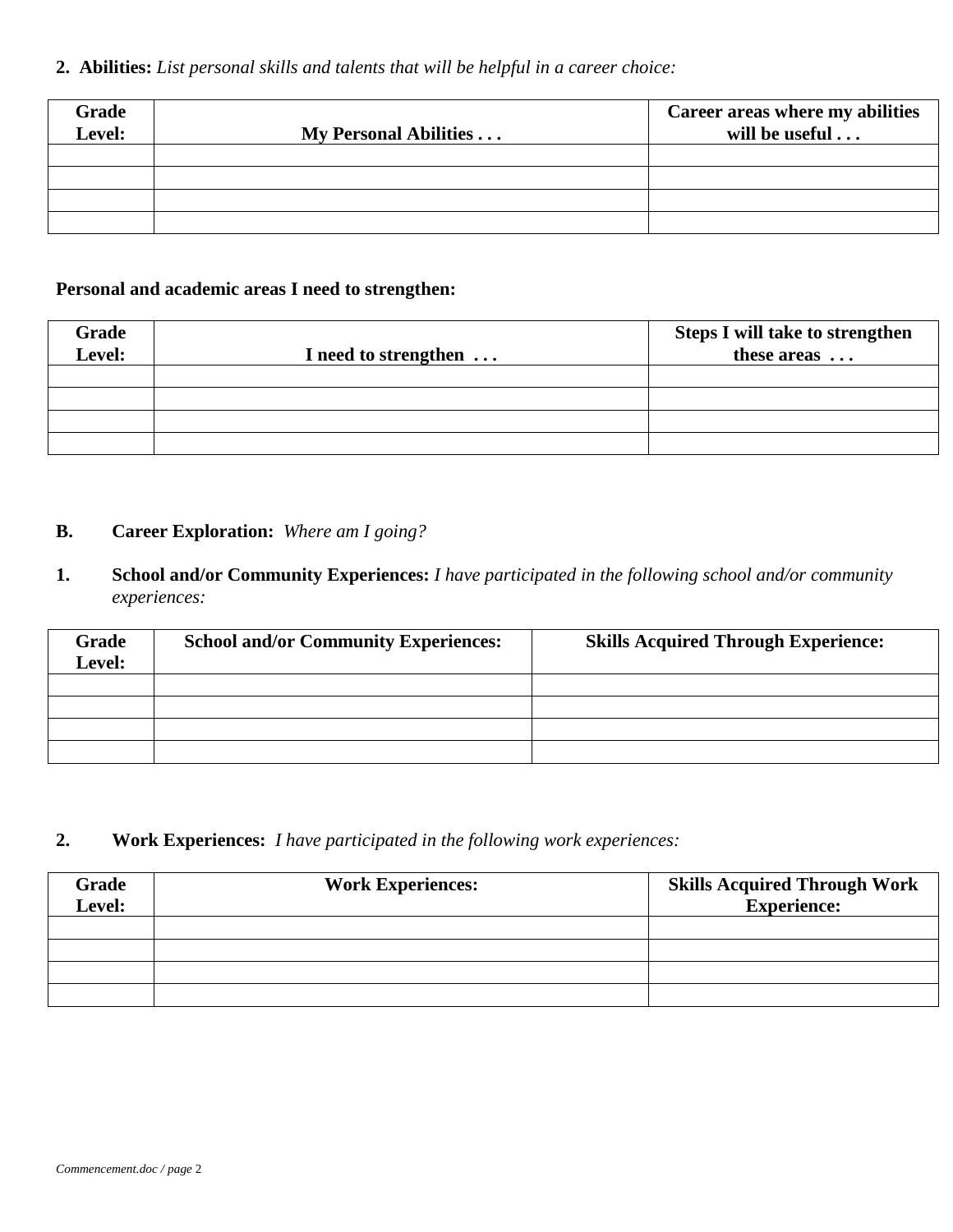### **2. Abilities:** *List personal skills and talents that will be helpful in a career choice:*

| Grade<br>Level: | My Personal Abilities | Career areas where my abilities<br>will be useful |
|-----------------|-----------------------|---------------------------------------------------|
|                 |                       |                                                   |
|                 |                       |                                                   |
|                 |                       |                                                   |
|                 |                       |                                                   |

### **Personal and academic areas I need to strengthen:**

| Grade<br><b>Level:</b> | I need to strengthen | <b>Steps I will take to strengthen</b><br>these areas |
|------------------------|----------------------|-------------------------------------------------------|
|                        |                      |                                                       |
|                        |                      |                                                       |
|                        |                      |                                                       |
|                        |                      |                                                       |

### **B. Career Exploration:** *Where am I going?*

**1. School and/or Community Experiences:** *I have participated in the following school and/or community experiences:*

| <b>Grade</b><br>Level: | <b>School and/or Community Experiences:</b> | <b>Skills Acquired Through Experience:</b> |
|------------------------|---------------------------------------------|--------------------------------------------|
|                        |                                             |                                            |
|                        |                                             |                                            |
|                        |                                             |                                            |
|                        |                                             |                                            |

### **2. Work Experiences:** *I have participated in the following work experiences:*

| Grade<br>Level: | <b>Work Experiences:</b> | <b>Skills Acquired Through Work</b><br><b>Experience:</b> |
|-----------------|--------------------------|-----------------------------------------------------------|
|                 |                          |                                                           |
|                 |                          |                                                           |
|                 |                          |                                                           |
|                 |                          |                                                           |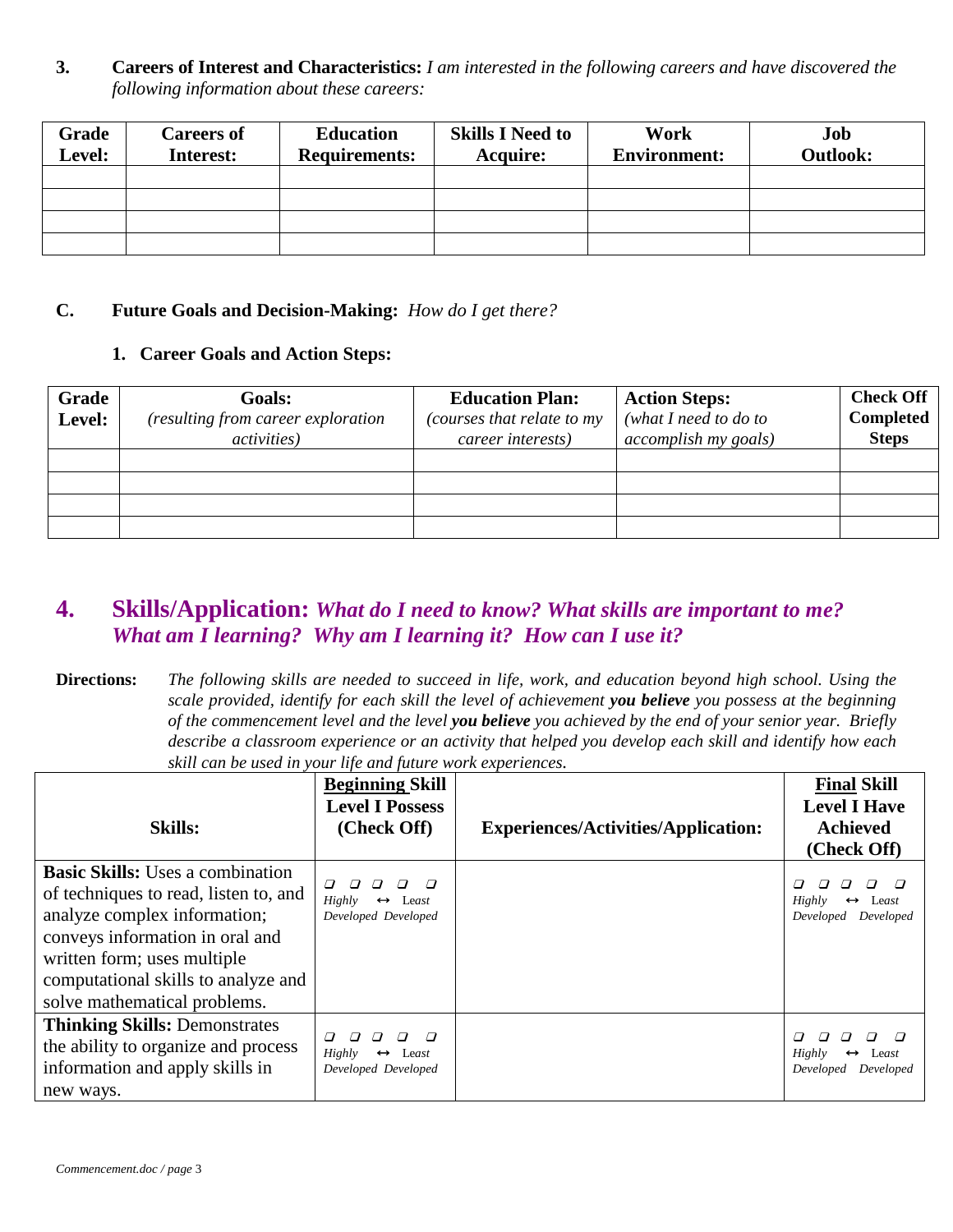**3. Careers of Interest and Characteristics:** *I am interested in the following careers and have discovered the following information about these careers:*

| Grade<br>Level: | <b>Careers of</b><br>Interest: | <b>Education</b><br><b>Requirements:</b> | <b>Skills I Need to</b><br><b>Acquire:</b> | Work<br><b>Environment:</b> | Job<br><b>Outlook:</b> |
|-----------------|--------------------------------|------------------------------------------|--------------------------------------------|-----------------------------|------------------------|
|                 |                                |                                          |                                            |                             |                        |
|                 |                                |                                          |                                            |                             |                        |
|                 |                                |                                          |                                            |                             |                        |
|                 |                                |                                          |                                            |                             |                        |

### **C. Future Goals and Decision-Making:** *How do I get there?*

### **1. Career Goals and Action Steps:**

| Grade<br>Level: | <b>Goals:</b><br>(resulting from career exploration<br><i>activities</i> ) | <b>Education Plan:</b><br>(courses that relate to my<br>career interests) | <b>Action Steps:</b><br>(what I need to do to<br><i>accomplish my goals)</i> | <b>Check Off</b><br><b>Completed</b><br><b>Steps</b> |
|-----------------|----------------------------------------------------------------------------|---------------------------------------------------------------------------|------------------------------------------------------------------------------|------------------------------------------------------|
|                 |                                                                            |                                                                           |                                                                              |                                                      |
|                 |                                                                            |                                                                           |                                                                              |                                                      |
|                 |                                                                            |                                                                           |                                                                              |                                                      |
|                 |                                                                            |                                                                           |                                                                              |                                                      |

## **4. Skills/Application:** *What do I need to know? What skills are important to me? What am I learning? Why am I learning it? How can I use it?*

**Directions:** *The following skills are needed to succeed in life, work, and education beyond high school. Using the scale provided, identify for each skill the level of achievement you believe you possess at the beginning of the commencement level and the level you believe you achieved by the end of your senior year. Briefly describe a classroom experience or an activity that helped you develop each skill and identify how each skill can be used in your life and future work experiences.*

|                                                                                                                                                                                                                                                           | <b>Beginning Skill</b><br><b>Level I Possess</b>                      |                                            | <b>Final Skill</b><br><b>Level I Have</b>                      |
|-----------------------------------------------------------------------------------------------------------------------------------------------------------------------------------------------------------------------------------------------------------|-----------------------------------------------------------------------|--------------------------------------------|----------------------------------------------------------------|
| <b>Skills:</b>                                                                                                                                                                                                                                            | (Check Off)                                                           | <b>Experiences/Activities/Application:</b> | <b>Achieved</b><br>(Check Off)                                 |
| <b>Basic Skills:</b> Uses a combination<br>of techniques to read, listen to, and<br>analyze complex information;<br>conveys information in oral and<br>written form; uses multiple<br>computational skills to analyze and<br>solve mathematical problems. | $\Box$<br>Highly<br>Least<br>$\leftrightarrow$<br>Developed Developed |                                            | Highly<br>Least<br>$\leftrightarrow$<br>Developed Developed    |
| <b>Thinking Skills: Demonstrates</b><br>the ability to organize and process<br>information and apply skills in<br>new ways.                                                                                                                               | Highly<br>$\leftrightarrow$<br>Least<br>Developed Developed           |                                            | Highly<br>$\leftrightarrow$<br>Least<br>Developed<br>Developed |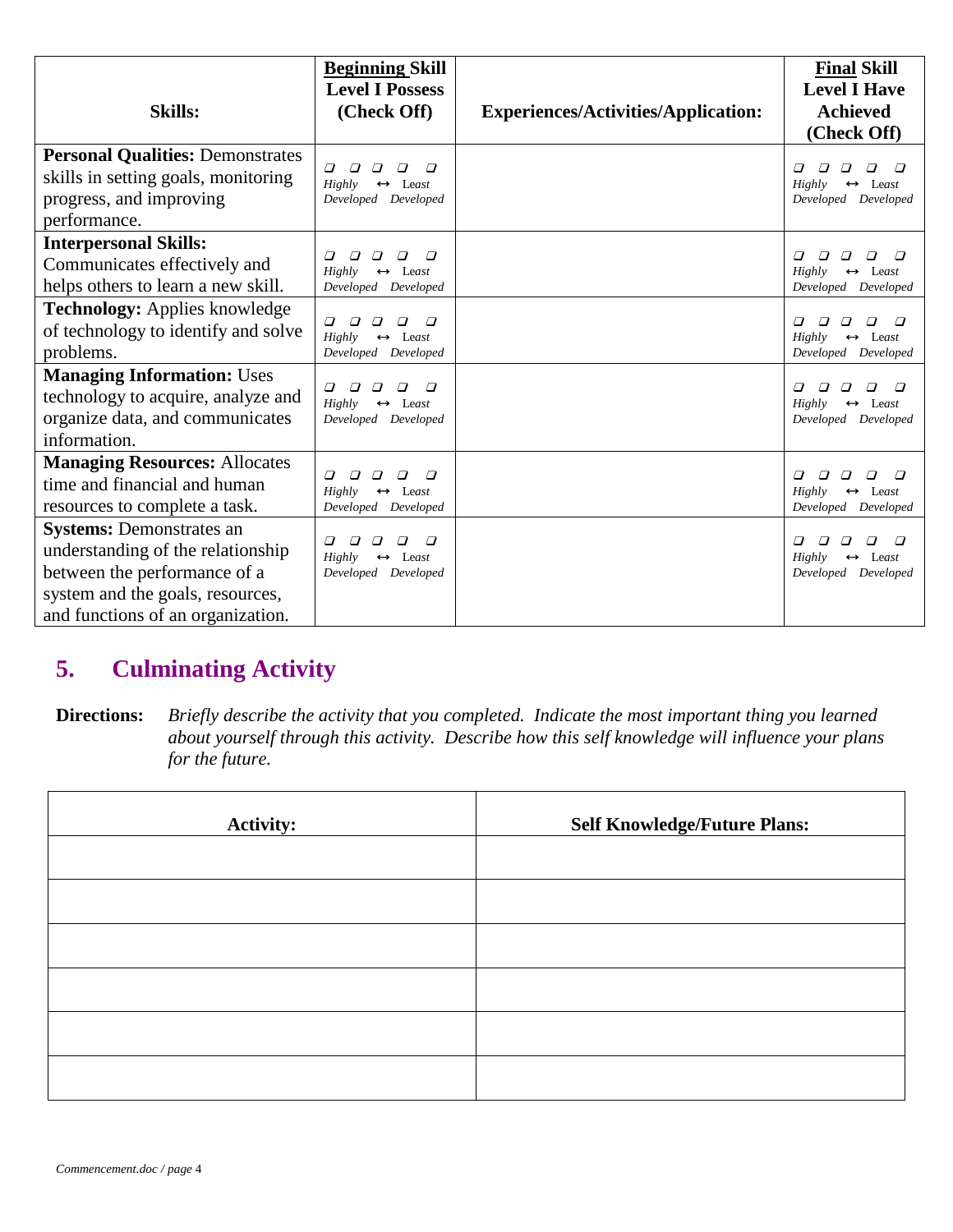|                                                                                                                           | <b>Beginning Skill</b><br><b>Level I Possess</b>                                                                          |                                            | <b>Final Skill</b><br><b>Level I Have</b>                                                                  |
|---------------------------------------------------------------------------------------------------------------------------|---------------------------------------------------------------------------------------------------------------------------|--------------------------------------------|------------------------------------------------------------------------------------------------------------|
| <b>Skills:</b>                                                                                                            | (Check Off)                                                                                                               | <b>Experiences/Activities/Application:</b> | <b>Achieved</b>                                                                                            |
|                                                                                                                           |                                                                                                                           |                                            | (Check Off)                                                                                                |
| <b>Personal Qualities: Demonstrates</b><br>skills in setting goals, monitoring<br>progress, and improving<br>performance. | $\varpi$<br>$\Box$<br>$\Box$<br>$\varpi$<br>Highly<br>$\leftrightarrow$ Least<br>Developed Developed                      |                                            | $\Box$<br>$\Box$<br>$\Box$<br>$\Box$<br>$\Box$<br>Highly<br>$\leftrightarrow$ Least<br>Developed Developed |
| <b>Interpersonal Skills:</b>                                                                                              | $\varpi$<br>$\sqrt{ }$<br>$\varpi$<br>$\varpi$<br>$\Box$                                                                  |                                            | □<br>$\varpi$<br>$\Box$<br>□                                                                               |
| Communicates effectively and                                                                                              | $Highly \leftrightarrow Least$                                                                                            |                                            | Highly<br>$\leftrightarrow$ Least                                                                          |
| helps others to learn a new skill.                                                                                        | Developed Developed                                                                                                       |                                            | Developed Developed                                                                                        |
| <b>Technology:</b> Applies knowledge<br>of technology to identify and solve<br>problems.                                  | $\Box$<br>$\Box$<br>$\boldsymbol{\varpi}$<br>$\Box$<br>$\Box$<br>$\leftrightarrow$ Least<br>Highly<br>Developed Developed |                                            | $\Box$<br>$\varpi$<br>0<br>□<br>0<br>Highly<br>$\leftrightarrow$ Least<br>Developed Developed              |
| <b>Managing Information: Uses</b>                                                                                         |                                                                                                                           |                                            |                                                                                                            |
| technology to acquire, analyze and                                                                                        | $\Box$<br>$\sqrt{ }$<br>$\Box$<br>$\varpi$<br>$\sqrt{ }$<br>$Highly \leftrightarrow Least$                                |                                            | $\Box$<br>$\Box$<br>$Highly \leftrightarrow Least$                                                         |
| organize data, and communicates                                                                                           | Developed Developed                                                                                                       |                                            | Developed Developed                                                                                        |
| information.                                                                                                              |                                                                                                                           |                                            |                                                                                                            |
| <b>Managing Resources: Allocates</b><br>time and financial and human<br>resources to complete a task.                     | $\Box$<br>$\Box$<br>$\Box$<br>$\Box$<br>$Highly \leftrightarrow Least$<br>Developed Developed                             |                                            | $\Box$<br>$\Box$<br>$\Box$<br>$\Box$<br>$\Box$<br>Highly<br>$\leftrightarrow$ Least<br>Developed Developed |
| <b>Systems: Demonstrates an</b>                                                                                           |                                                                                                                           |                                            |                                                                                                            |
| understanding of the relationship                                                                                         | $\Box$<br>$\sqrt{ }$<br>$\Box$<br>$\Box$<br>$\Box$<br>$Highly \leftrightarrow Least$                                      |                                            | $\sqrt{ }$<br>$\Box$<br>$Highly \leftrightarrow Least$                                                     |
| between the performance of a                                                                                              | Developed Developed                                                                                                       |                                            | Developed Developed                                                                                        |
| system and the goals, resources,                                                                                          |                                                                                                                           |                                            |                                                                                                            |
| and functions of an organization.                                                                                         |                                                                                                                           |                                            |                                                                                                            |

# **5. Culminating Activity**

**Directions:** *Briefly describe the activity that you completed. Indicate the most important thing you learned about yourself through this activity. Describe how this self knowledge will influence your plans for the future.*

| <b>Activity:</b> | <b>Self Knowledge/Future Plans:</b> |
|------------------|-------------------------------------|
|                  |                                     |
|                  |                                     |
|                  |                                     |
|                  |                                     |
|                  |                                     |
|                  |                                     |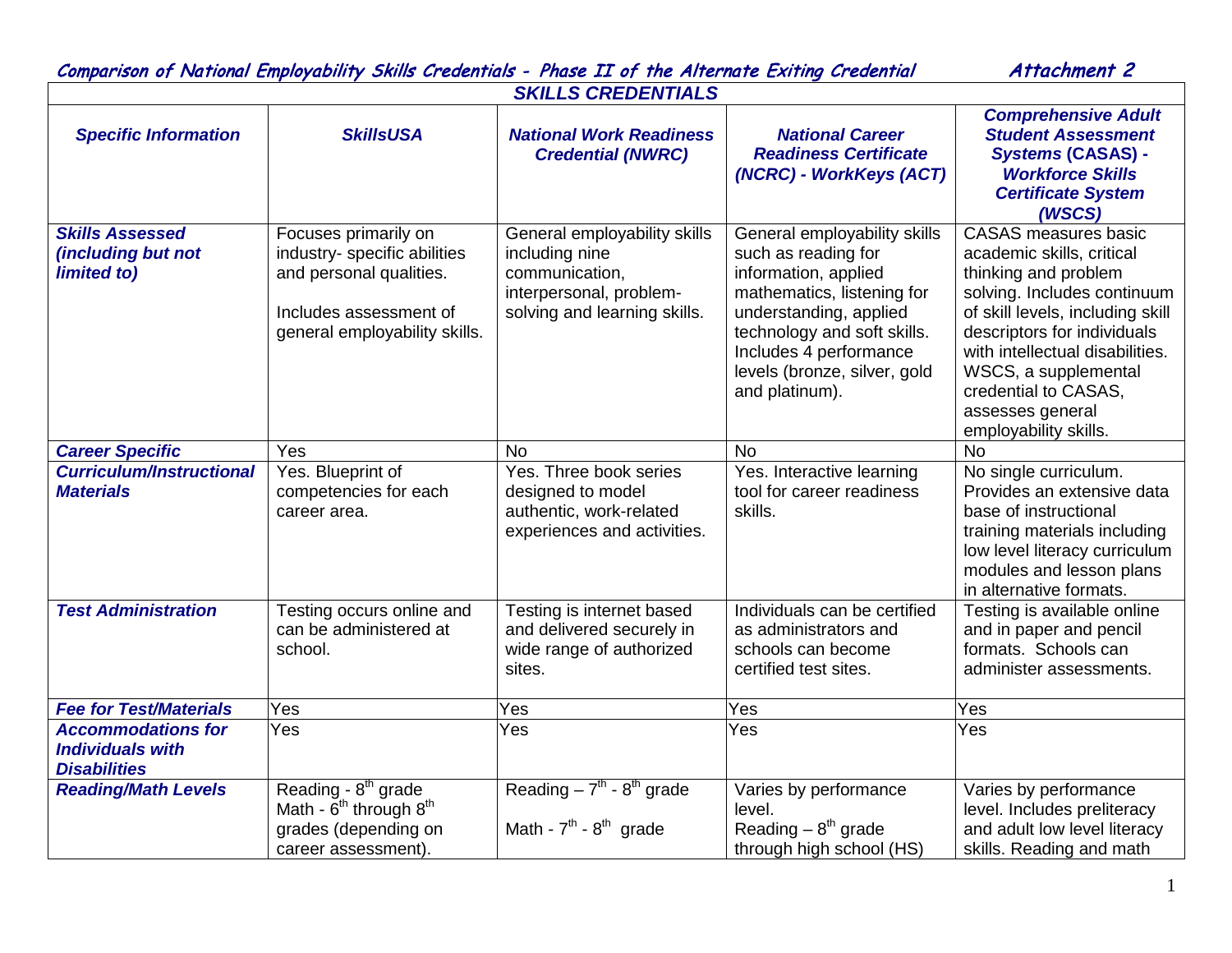| Attachment 2<br>Comparison of National Employability Skills Credentials - Phase II of the Alternate Exiting Credential |                                                                                                                                            |                                                                                                                             |                                                                                                                                                                                                                                                |                                                                                                                                                                                                                                                                                                                    |  |  |  |
|------------------------------------------------------------------------------------------------------------------------|--------------------------------------------------------------------------------------------------------------------------------------------|-----------------------------------------------------------------------------------------------------------------------------|------------------------------------------------------------------------------------------------------------------------------------------------------------------------------------------------------------------------------------------------|--------------------------------------------------------------------------------------------------------------------------------------------------------------------------------------------------------------------------------------------------------------------------------------------------------------------|--|--|--|
| <b>SKILLS CREDENTIALS</b>                                                                                              |                                                                                                                                            |                                                                                                                             |                                                                                                                                                                                                                                                |                                                                                                                                                                                                                                                                                                                    |  |  |  |
| <b>Specific Information</b>                                                                                            | <b>SkillsUSA</b>                                                                                                                           | <b>National Work Readiness</b><br><b>Credential (NWRC)</b>                                                                  | <b>National Career</b><br><b>Readiness Certificate</b><br>(NCRC) - WorkKeys (ACT)                                                                                                                                                              | <b>Comprehensive Adult</b><br><b>Student Assessment</b><br><b>Systems (CASAS) -</b><br><b>Workforce Skills</b><br><b>Certificate System</b><br>(WSCS)                                                                                                                                                              |  |  |  |
| <b>Skills Assessed</b><br>(including but not<br>limited to)                                                            | Focuses primarily on<br>industry- specific abilities<br>and personal qualities.<br>Includes assessment of<br>general employability skills. | General employability skills<br>including nine<br>communication,<br>interpersonal, problem-<br>solving and learning skills. | General employability skills<br>such as reading for<br>information, applied<br>mathematics, listening for<br>understanding, applied<br>technology and soft skills.<br>Includes 4 performance<br>levels (bronze, silver, gold<br>and platinum). | <b>CASAS</b> measures basic<br>academic skills, critical<br>thinking and problem<br>solving. Includes continuum<br>of skill levels, including skill<br>descriptors for individuals<br>with intellectual disabilities.<br>WSCS, a supplemental<br>credential to CASAS,<br>assesses general<br>employability skills. |  |  |  |
| <b>Career Specific</b>                                                                                                 | Yes                                                                                                                                        | <b>No</b>                                                                                                                   | <b>No</b>                                                                                                                                                                                                                                      | <b>No</b>                                                                                                                                                                                                                                                                                                          |  |  |  |
| <b>Curriculum/Instructional</b><br><b>Materials</b>                                                                    | Yes. Blueprint of<br>competencies for each<br>career area.                                                                                 | Yes. Three book series<br>designed to model<br>authentic, work-related<br>experiences and activities.                       | Yes. Interactive learning<br>tool for career readiness<br>skills.                                                                                                                                                                              | No single curriculum.<br>Provides an extensive data<br>base of instructional<br>training materials including<br>low level literacy curriculum<br>modules and lesson plans<br>in alternative formats.                                                                                                               |  |  |  |
| <b>Test Administration</b>                                                                                             | Testing occurs online and<br>can be administered at<br>school.                                                                             | Testing is internet based<br>and delivered securely in<br>wide range of authorized<br>sites.                                | Individuals can be certified<br>as administrators and<br>schools can become<br>certified test sites.                                                                                                                                           | Testing is available online<br>and in paper and pencil<br>formats. Schools can<br>administer assessments.                                                                                                                                                                                                          |  |  |  |
| <b>Fee for Test/Materials</b>                                                                                          | Yes                                                                                                                                        | Yes                                                                                                                         | Yes                                                                                                                                                                                                                                            | Yes                                                                                                                                                                                                                                                                                                                |  |  |  |
| <b>Accommodations for</b><br><b>Individuals with</b><br><b>Disabilities</b>                                            | Yes                                                                                                                                        | Yes                                                                                                                         | Yes                                                                                                                                                                                                                                            | Yes                                                                                                                                                                                                                                                                                                                |  |  |  |
| <b>Reading/Math Levels</b>                                                                                             | Reading - 8 <sup>th</sup> grade<br>Math - $6^{th}$ through $8^{th}$<br>grades (depending on<br>career assessment).                         | Reading $-7th - 8th$ grade<br>Math - $7th$ - $8th$ grade                                                                    | Varies by performance<br>level.<br>Reading $-8th$ grade<br>through high school (HS)                                                                                                                                                            | Varies by performance<br>level. Includes preliteracy<br>and adult low level literacy<br>skills. Reading and math                                                                                                                                                                                                   |  |  |  |